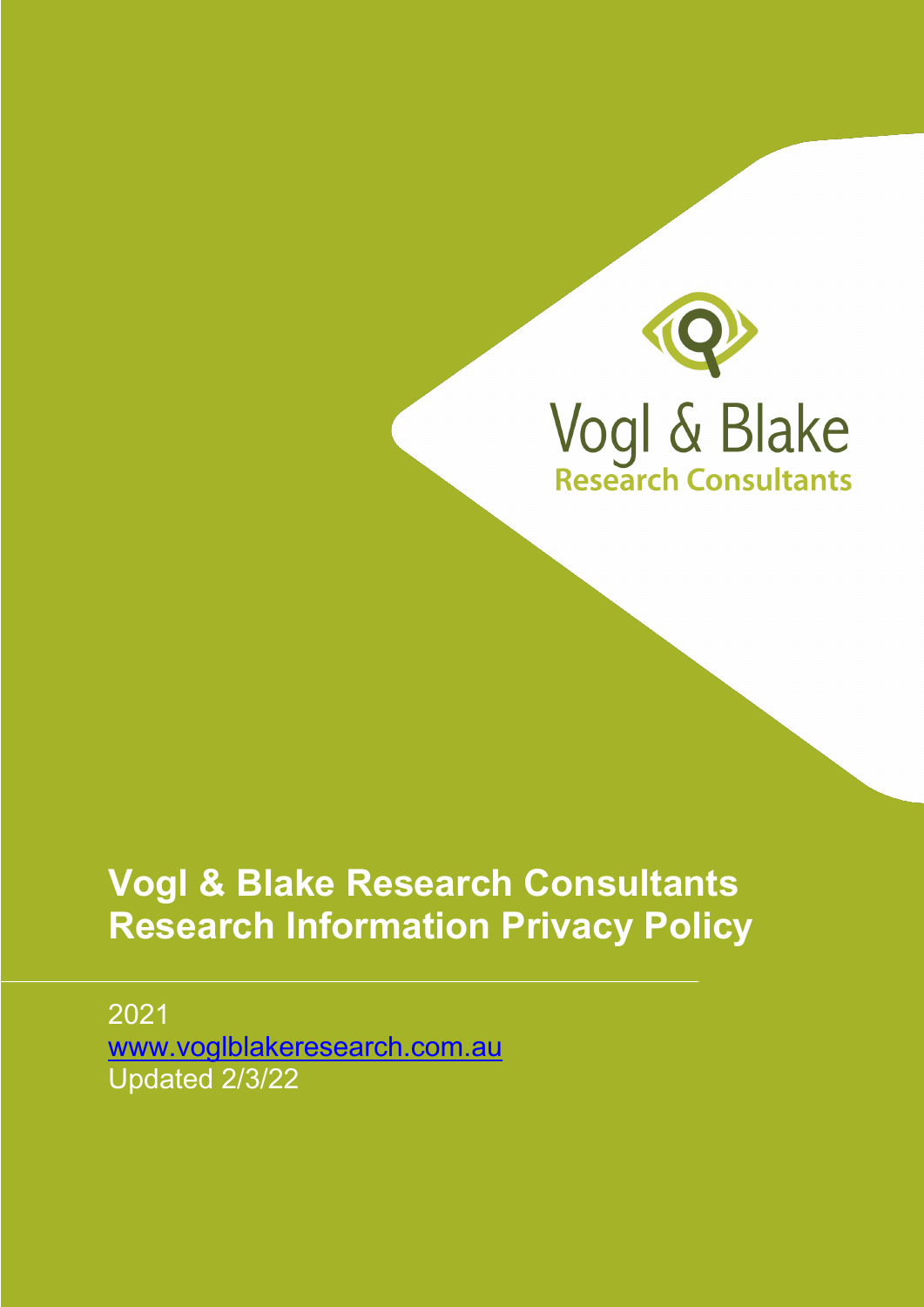

## **Vogl & Blake Research Consultants Research Information Privacy Policy**

2021 www.voglblakeresearch.com.au Updated 2/3/22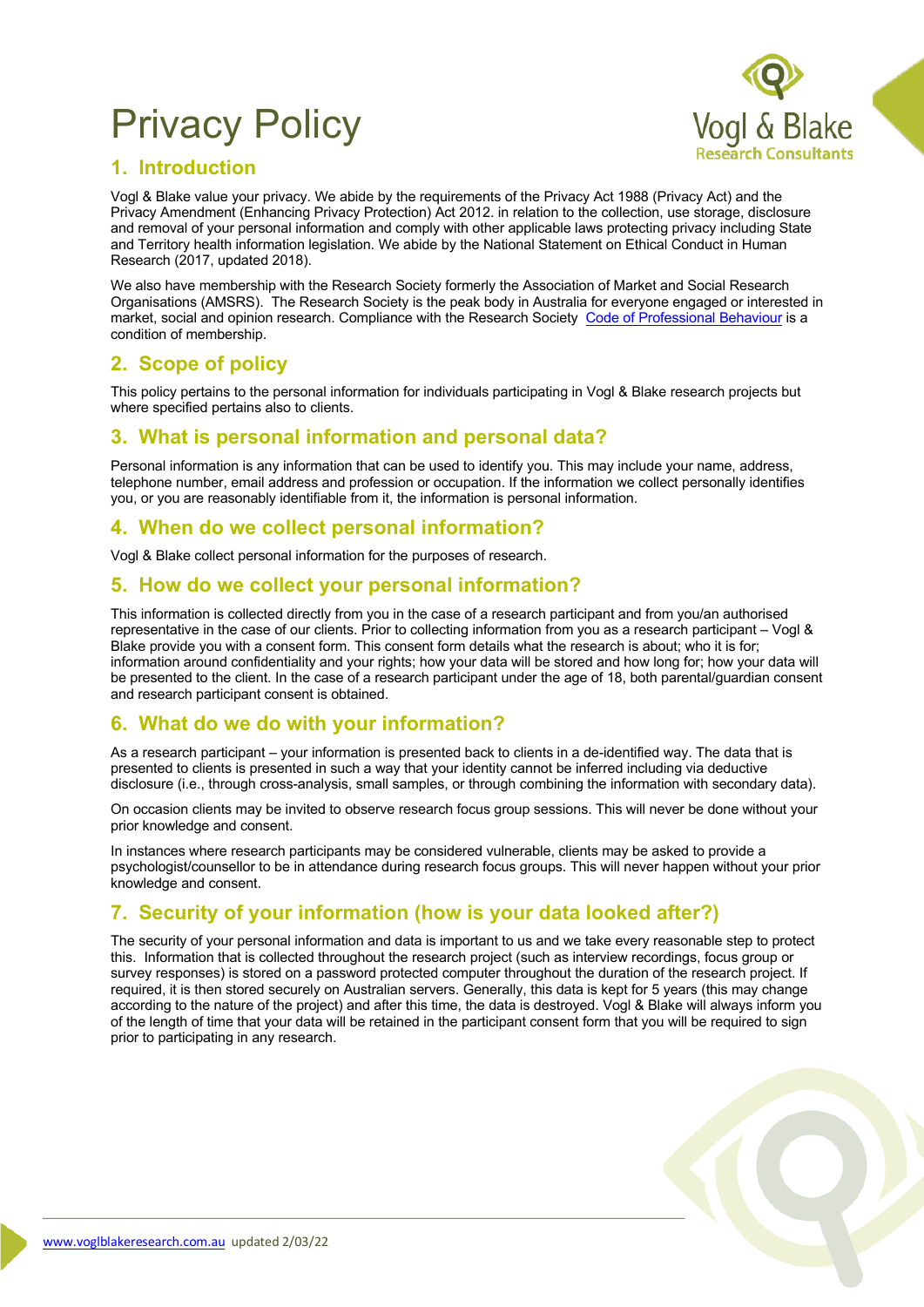# Privacy Policy



#### **1. Introduction**

Vogl & Blake value your privacy. We abide by the requirements of the Privacy Act 1988 (Privacy Act) and the Privacy Amendment (Enhancing Privacy Protection) Act 2012. in relation to the collection, use storage, disclosure and removal of your personal information and comply with other applicable laws protecting privacy including State and Territory health information legislation. We abide by the National Statement on Ethical Conduct in Human Research (2017, updated 2018).

We also have membership with the Research Society formerly the Association of Market and Social Research Organisations (AMSRS). The Research Society is the peak body in Australia for everyone engaged or interested in market, social and opinion research. Compliance with the Research Society Code of Professional Behaviour is a condition of membership.

### **2. Scope of policy**

This policy pertains to the personal information for individuals participating in Vogl & Blake research projects but where specified pertains also to clients.

#### **3. What is personal information and personal data?**

Personal information is any information that can be used to identify you. This may include your name, address, telephone number, email address and profession or occupation. If the information we collect personally identifies you, or you are reasonably identifiable from it, the information is personal information.

#### **4. When do we collect personal information?**

Vogl & Blake collect personal information for the purposes of research.

#### **5. How do we collect your personal information?**

This information is collected directly from you in the case of a research participant and from you/an authorised representative in the case of our clients. Prior to collecting information from you as a research participant – Vogl & Blake provide you with a consent form. This consent form details what the research is about; who it is for; information around confidentiality and your rights; how your data will be stored and how long for; how your data will be presented to the client. In the case of a research participant under the age of 18, both parental/guardian consent and research participant consent is obtained.

#### **6. What do we do with your information?**

As a research participant – your information is presented back to clients in a de-identified way. The data that is presented to clients is presented in such a way that your identity cannot be inferred including via deductive disclosure (i.e., through cross-analysis, small samples, or through combining the information with secondary data).

On occasion clients may be invited to observe research focus group sessions. This will never be done without your prior knowledge and consent.

In instances where research participants may be considered vulnerable, clients may be asked to provide a psychologist/counsellor to be in attendance during research focus groups. This will never happen without your prior knowledge and consent.

#### **7. Security of your information (how is your data looked after?)**

The security of your personal information and data is important to us and we take every reasonable step to protect this. Information that is collected throughout the research project (such as interview recordings, focus group or survey responses) is stored on a password protected computer throughout the duration of the research project. If required, it is then stored securely on Australian servers. Generally, this data is kept for 5 years (this may change according to the nature of the project) and after this time, the data is destroyed. Vogl & Blake will always inform you of the length of time that your data will be retained in the participant consent form that you will be required to sign prior to participating in any research.